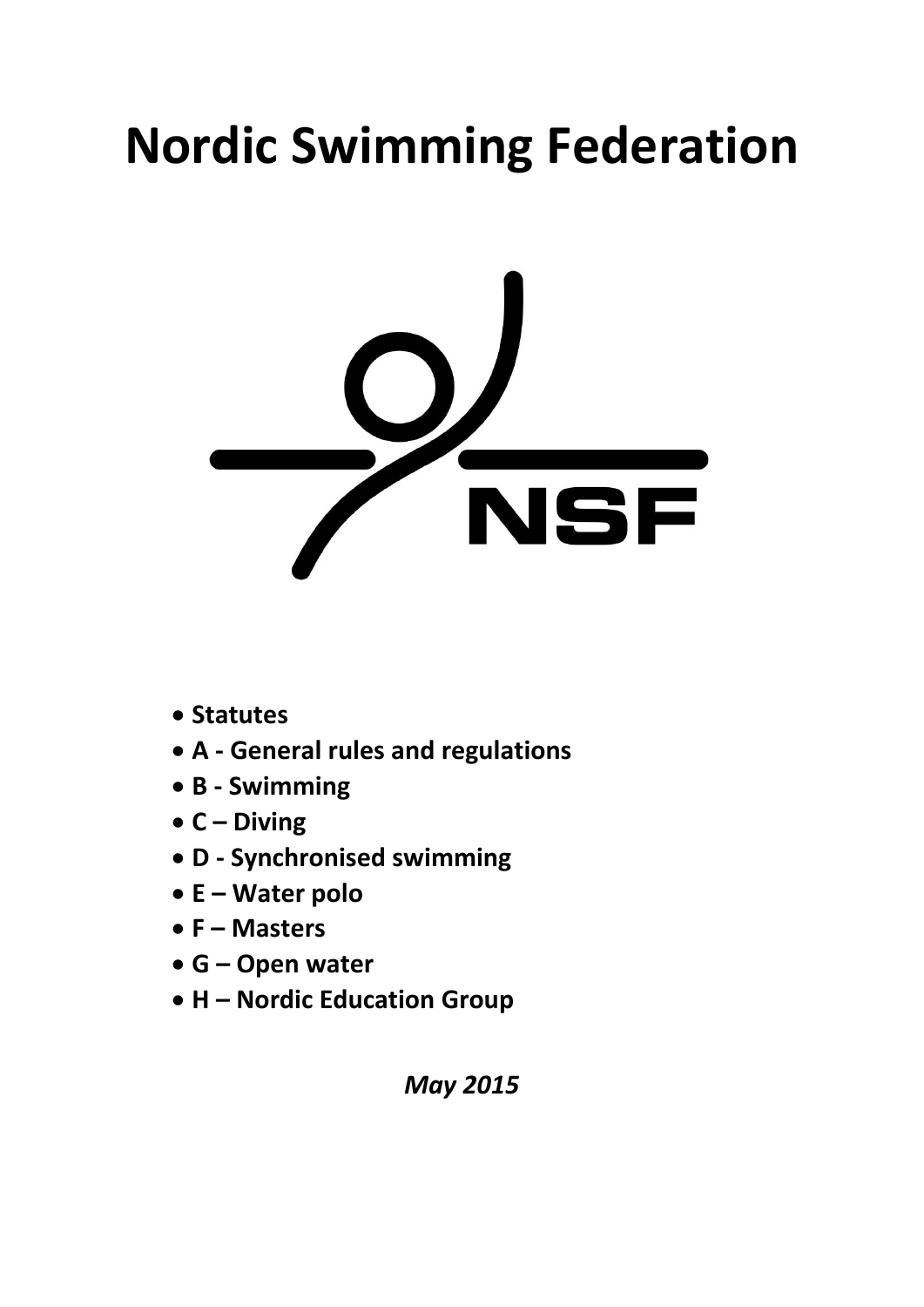# **Nordic Swimming Federation**



- **Statutes**
- **A - General rules and regulations**
- **B - Swimming**
- **C – Diving**
- **D - Synchronised swimming**
- **E – Water polo**
- **F – Masters**
- **G – Open water**
- **H – Nordic Education Group**

*May 2015*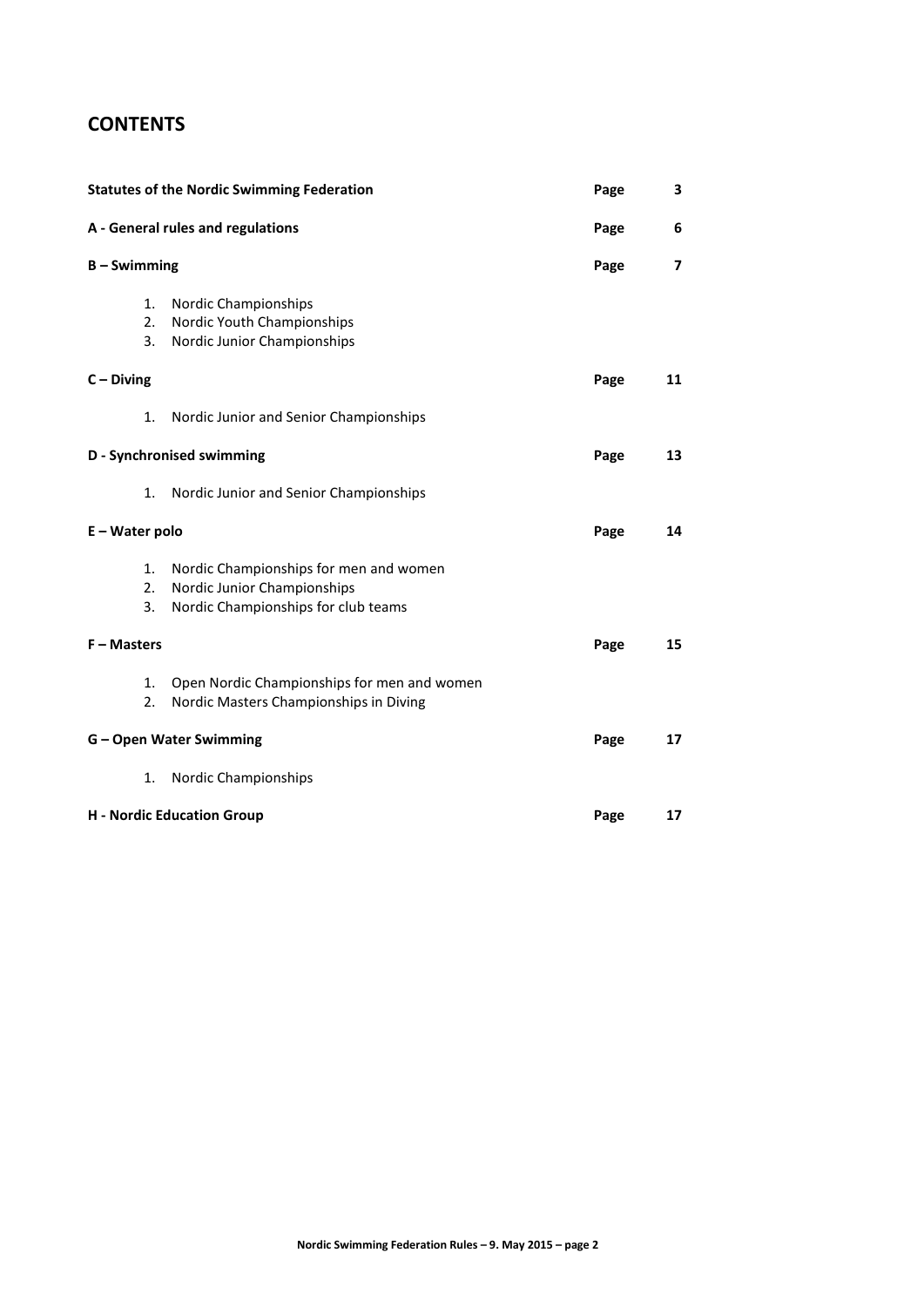# **CONTENTS**

| <b>Statutes of the Nordic Swimming Federation</b> | Page                                                                                                         | 3    |    |
|---------------------------------------------------|--------------------------------------------------------------------------------------------------------------|------|----|
|                                                   | A - General rules and regulations                                                                            | Page | 6  |
| $B -$ Swimming                                    |                                                                                                              | Page | 7  |
| 1.<br>2.<br>3.                                    | Nordic Championships<br>Nordic Youth Championships<br>Nordic Junior Championships                            |      |    |
| $C - Diving$                                      |                                                                                                              | Page | 11 |
| 1.                                                | Nordic Junior and Senior Championships                                                                       |      |    |
|                                                   | D - Synchronised swimming                                                                                    | Page | 13 |
| 1.                                                | Nordic Junior and Senior Championships                                                                       |      |    |
| E - Water polo                                    |                                                                                                              | Page | 14 |
| 1.<br>2.<br>3.                                    | Nordic Championships for men and women<br>Nordic Junior Championships<br>Nordic Championships for club teams |      |    |
| $F - M$ asters                                    |                                                                                                              | Page | 15 |
| 1.<br>2.                                          | Open Nordic Championships for men and women<br>Nordic Masters Championships in Diving                        |      |    |
|                                                   | <b>G-Open Water Swimming</b>                                                                                 | Page | 17 |
| 1.                                                | Nordic Championships                                                                                         |      |    |
|                                                   | <b>H</b> - Nordic Education Group                                                                            | Page | 17 |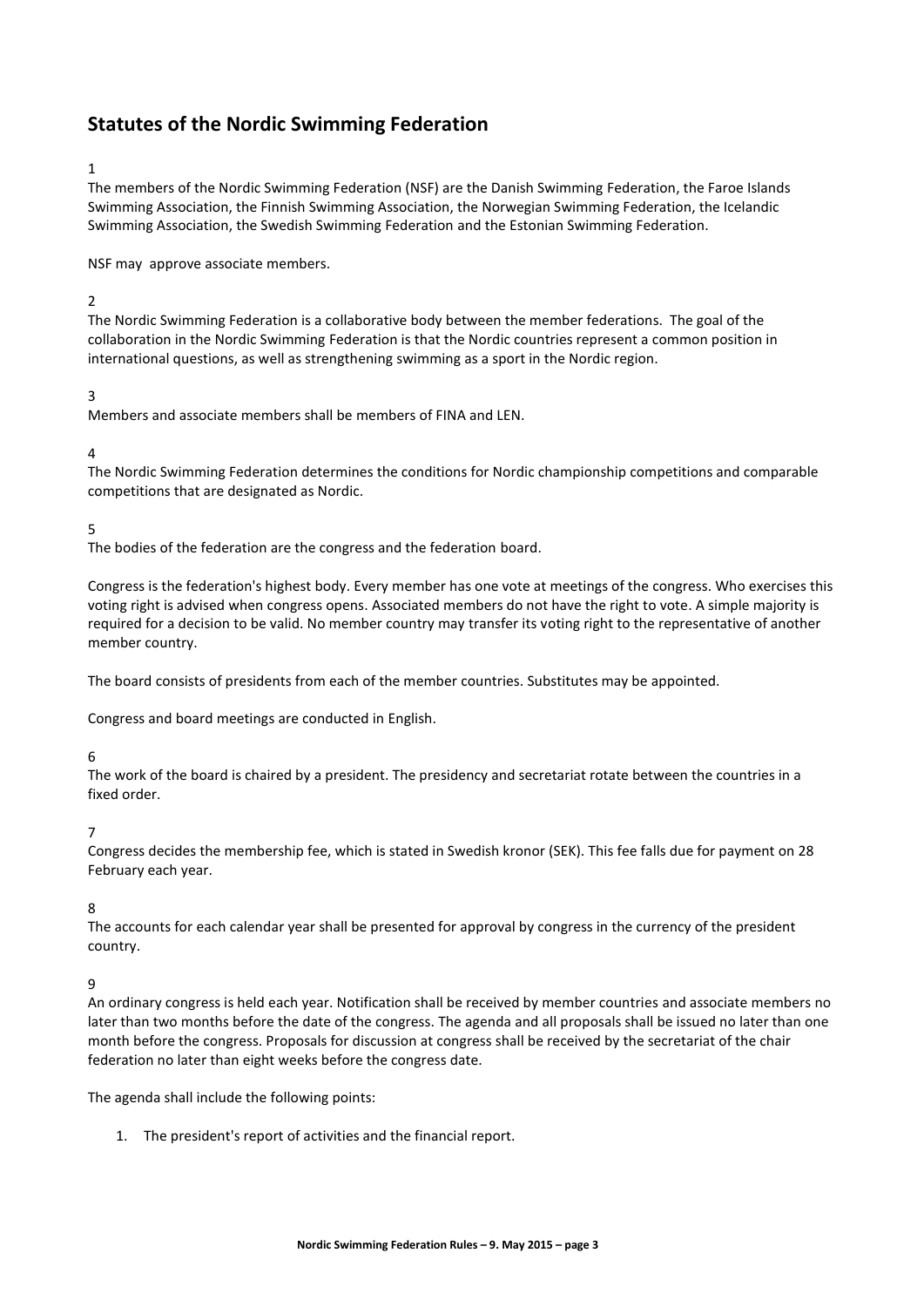# **Statutes of the Nordic Swimming Federation**

## 1

The members of the Nordic Swimming Federation (NSF) are the Danish Swimming Federation, the Faroe Islands Swimming Association, the Finnish Swimming Association, the Norwegian Swimming Federation, the Icelandic Swimming Association, the Swedish Swimming Federation and the Estonian Swimming Federation.

NSF may approve associate members.

# $\overline{2}$

The Nordic Swimming Federation is a collaborative body between the member federations. The goal of the collaboration in the Nordic Swimming Federation is that the Nordic countries represent a common position in international questions, as well as strengthening swimming as a sport in the Nordic region.

# 3

Members and associate members shall be members of FINA and LEN.

#### 4

The Nordic Swimming Federation determines the conditions for Nordic championship competitions and comparable competitions that are designated as Nordic.

#### 5

The bodies of the federation are the congress and the federation board.

Congress is the federation's highest body. Every member has one vote at meetings of the congress. Who exercises this voting right is advised when congress opens. Associated members do not have the right to vote. A simple majority is required for a decision to be valid. No member country may transfer its voting right to the representative of another member country.

The board consists of presidents from each of the member countries. Substitutes may be appointed.

Congress and board meetings are conducted in English.

#### 6

The work of the board is chaired by a president. The presidency and secretariat rotate between the countries in a fixed order.

#### 7

Congress decides the membership fee, which is stated in Swedish kronor (SEK). This fee falls due for payment on 28 February each year.

#### 8

The accounts for each calendar year shall be presented for approval by congress in the currency of the president country.

#### 9

An ordinary congress is held each year. Notification shall be received by member countries and associate members no later than two months before the date of the congress. The agenda and all proposals shall be issued no later than one month before the congress. Proposals for discussion at congress shall be received by the secretariat of the chair federation no later than eight weeks before the congress date.

The agenda shall include the following points:

1. The president's report of activities and the financial report.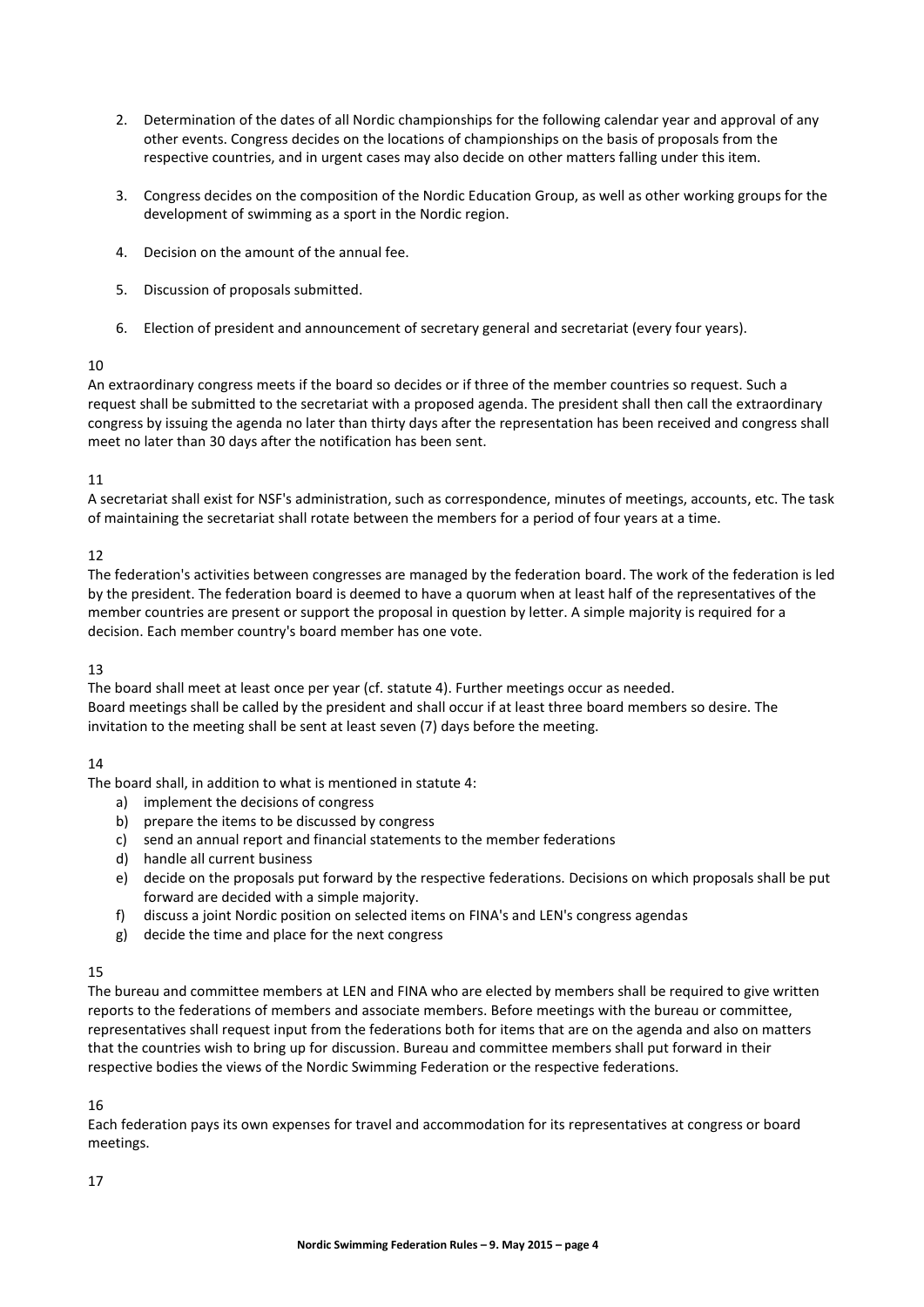- 2. Determination of the dates of all Nordic championships for the following calendar year and approval of any other events. Congress decides on the locations of championships on the basis of proposals from the respective countries, and in urgent cases may also decide on other matters falling under this item.
- 3. Congress decides on the composition of the Nordic Education Group, as well as other working groups for the development of swimming as a sport in the Nordic region.
- 4. Decision on the amount of the annual fee.
- 5. Discussion of proposals submitted.
- 6. Election of president and announcement of secretary general and secretariat (every four years).

#### 10

An extraordinary congress meets if the board so decides or if three of the member countries so request. Such a request shall be submitted to the secretariat with a proposed agenda. The president shall then call the extraordinary congress by issuing the agenda no later than thirty days after the representation has been received and congress shall meet no later than 30 days after the notification has been sent.

## 11

A secretariat shall exist for NSF's administration, such as correspondence, minutes of meetings, accounts, etc. The task of maintaining the secretariat shall rotate between the members for a period of four years at a time.

## 12

The federation's activities between congresses are managed by the federation board. The work of the federation is led by the president. The federation board is deemed to have a quorum when at least half of the representatives of the member countries are present or support the proposal in question by letter. A simple majority is required for a decision. Each member country's board member has one vote.

# 13

The board shall meet at least once per year (cf. statute 4). Further meetings occur as needed. Board meetings shall be called by the president and shall occur if at least three board members so desire. The invitation to the meeting shall be sent at least seven (7) days before the meeting.

# $14$

The board shall, in addition to what is mentioned in statute 4:

- a) implement the decisions of congress
- b) prepare the items to be discussed by congress
- c) send an annual report and financial statements to the member federations
- d) handle all current business
- e) decide on the proposals put forward by the respective federations. Decisions on which proposals shall be put forward are decided with a simple majority.
- f) discuss a joint Nordic position on selected items on FINA's and LEN's congress agendas
- g) decide the time and place for the next congress

#### 15

The bureau and committee members at LEN and FINA who are elected by members shall be required to give written reports to the federations of members and associate members. Before meetings with the bureau or committee, representatives shall request input from the federations both for items that are on the agenda and also on matters that the countries wish to bring up for discussion. Bureau and committee members shall put forward in their respective bodies the views of the Nordic Swimming Federation or the respective federations.

#### 16

Each federation pays its own expenses for travel and accommodation for its representatives at congress or board meetings.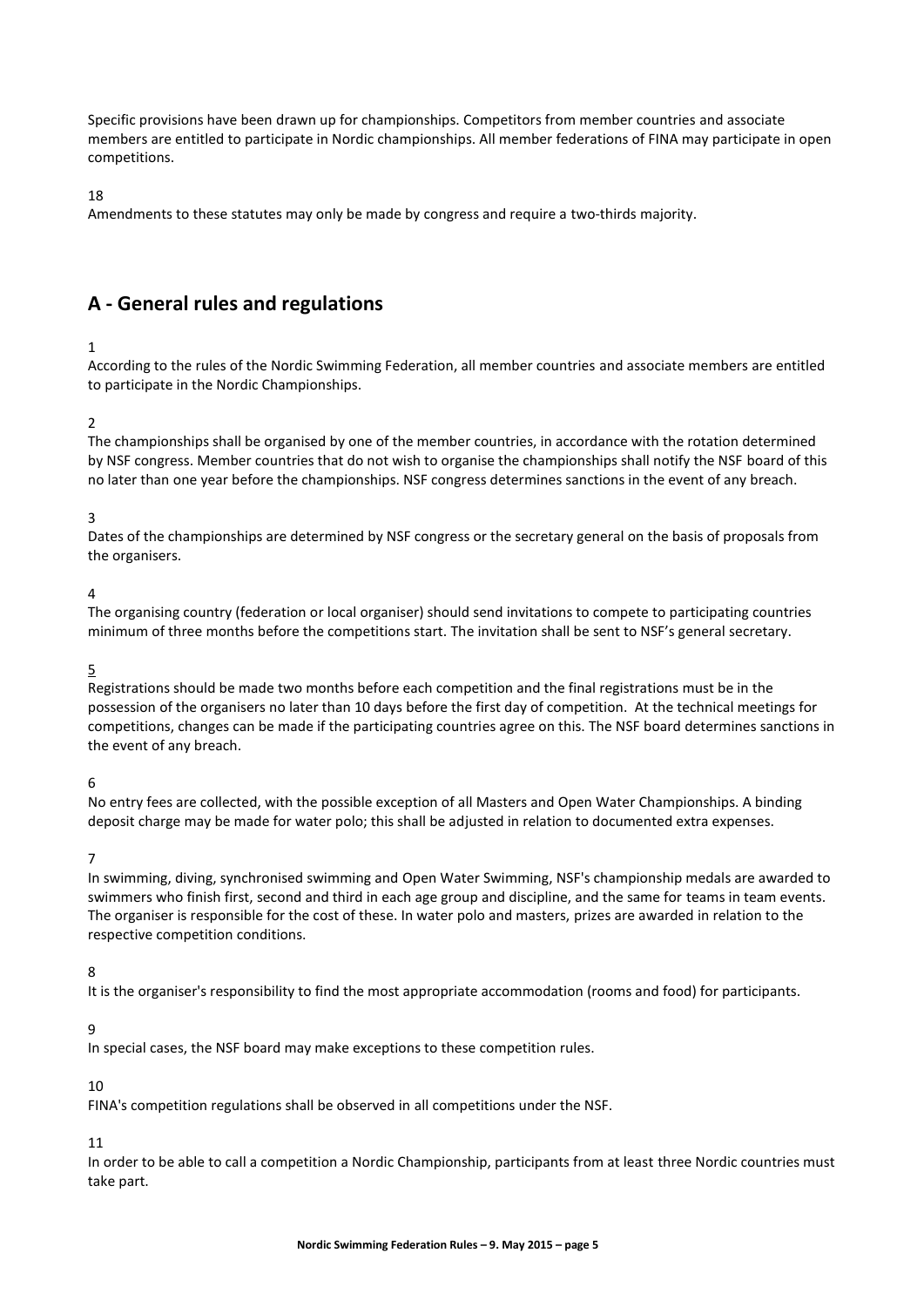Specific provisions have been drawn up for championships. Competitors from member countries and associate members are entitled to participate in Nordic championships. All member federations of FINA may participate in open competitions.

18

Amendments to these statutes may only be made by congress and require a two-thirds majority.

# **A - General rules and regulations**

## 1

According to the rules of the Nordic Swimming Federation, all member countries and associate members are entitled to participate in the Nordic Championships.

## $\overline{2}$

The championships shall be organised by one of the member countries, in accordance with the rotation determined by NSF congress. Member countries that do not wish to organise the championships shall notify the NSF board of this no later than one year before the championships. NSF congress determines sanctions in the event of any breach.

#### 3

Dates of the championships are determined by NSF congress or the secretary general on the basis of proposals from the organisers.

#### $\overline{A}$

The organising country (federation or local organiser) should send invitations to compete to participating countries minimum of three months before the competitions start. The invitation shall be sent to NSF's general secretary.

#### 5

Registrations should be made two months before each competition and the final registrations must be in the possession of the organisers no later than 10 days before the first day of competition. At the technical meetings for competitions, changes can be made if the participating countries agree on this. The NSF board determines sanctions in the event of any breach.

#### 6

No entry fees are collected, with the possible exception of all Masters and Open Water Championships. A binding deposit charge may be made for water polo; this shall be adjusted in relation to documented extra expenses.

#### 7

In swimming, diving, synchronised swimming and Open Water Swimming, NSF's championship medals are awarded to swimmers who finish first, second and third in each age group and discipline, and the same for teams in team events. The organiser is responsible for the cost of these. In water polo and masters, prizes are awarded in relation to the respective competition conditions.

#### 8

It is the organiser's responsibility to find the most appropriate accommodation (rooms and food) for participants.

#### 9

In special cases, the NSF board may make exceptions to these competition rules.

#### 10

FINA's competition regulations shall be observed in all competitions under the NSF.

#### 11

In order to be able to call a competition a Nordic Championship, participants from at least three Nordic countries must take part.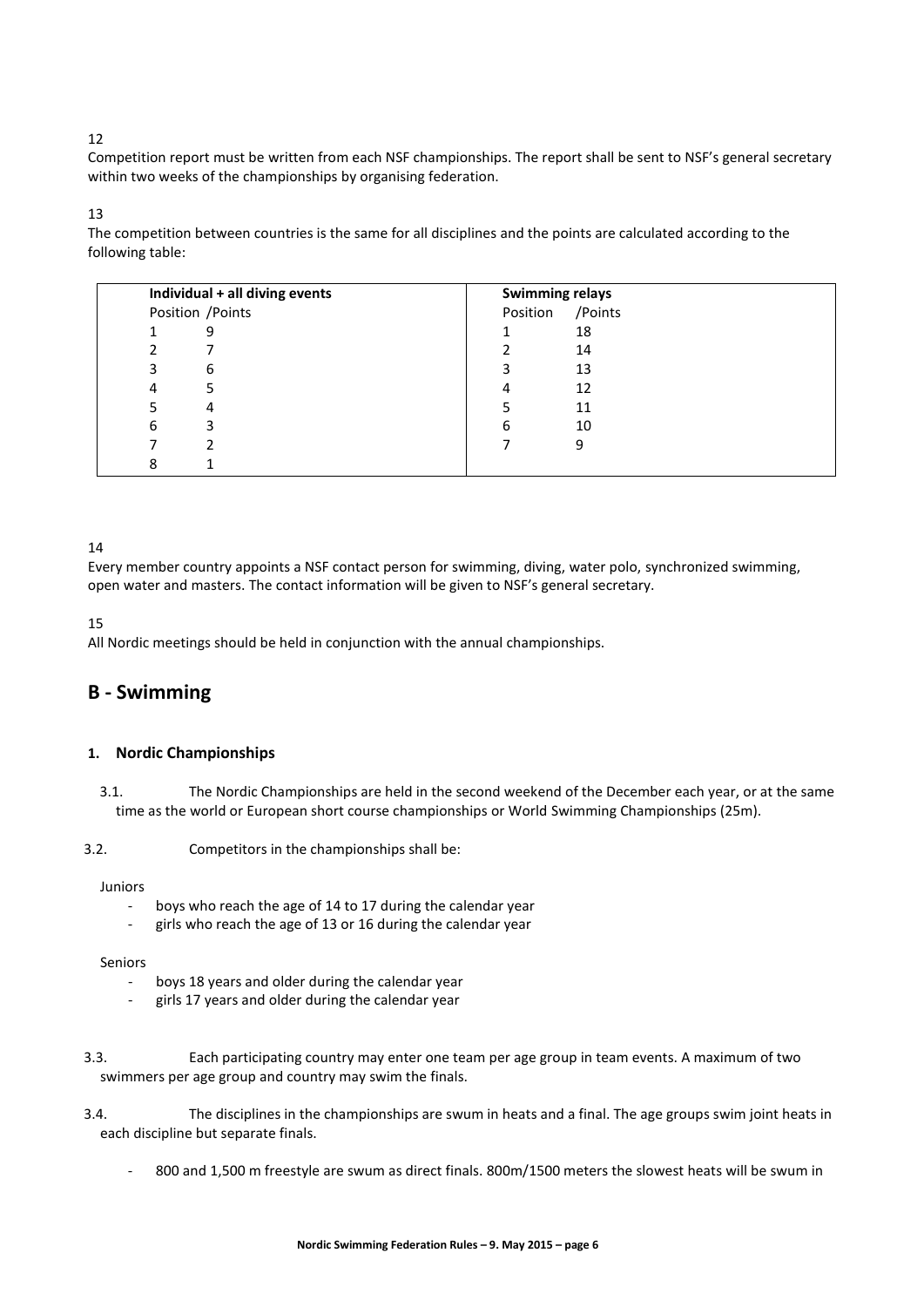# 12

Competition report must be written from each NSF championships. The report shall be sent to NSF's general secretary within two weeks of the championships by organising federation.

#### 13

The competition between countries is the same for all disciplines and the points are calculated according to the following table:

| Individual + all diving events |   | <b>Swimming relays</b> |          |         |
|--------------------------------|---|------------------------|----------|---------|
|                                |   | Position / Points      | Position | /Points |
|                                |   | 9                      |          | 18      |
|                                |   |                        |          | 14      |
|                                |   | 6                      | 3        | 13      |
|                                |   |                        | 4        | 12      |
|                                |   | 4                      |          | 11      |
|                                | 6 | 3                      | 6        | 10      |
|                                |   |                        |          | 9       |
|                                | 8 |                        |          |         |

# 14

Every member country appoints a NSF contact person for swimming, diving, water polo, synchronized swimming, open water and masters. The contact information will be given to NSF's general secretary.

15

All Nordic meetings should be held in conjunction with the annual championships.

# **B - Swimming**

# **1. Nordic Championships**

3.1. The Nordic Championships are held in the second weekend of the December each year, or at the same time as the world or European short course championships or World Swimming Championships (25m).

#### 3.2. Competitors in the championships shall be:

#### Juniors

- boys who reach the age of 14 to 17 during the calendar year
- girls who reach the age of 13 or 16 during the calendar year

#### Seniors

- boys 18 years and older during the calendar year
- girls 17 years and older during the calendar year
- 3.3. Each participating country may enter one team per age group in team events. A maximum of two swimmers per age group and country may swim the finals.
- 3.4. The disciplines in the championships are swum in heats and a final. The age groups swim joint heats in each discipline but separate finals.
	- 800 and 1,500 m freestyle are swum as direct finals. 800m/1500 meters the slowest heats will be swum in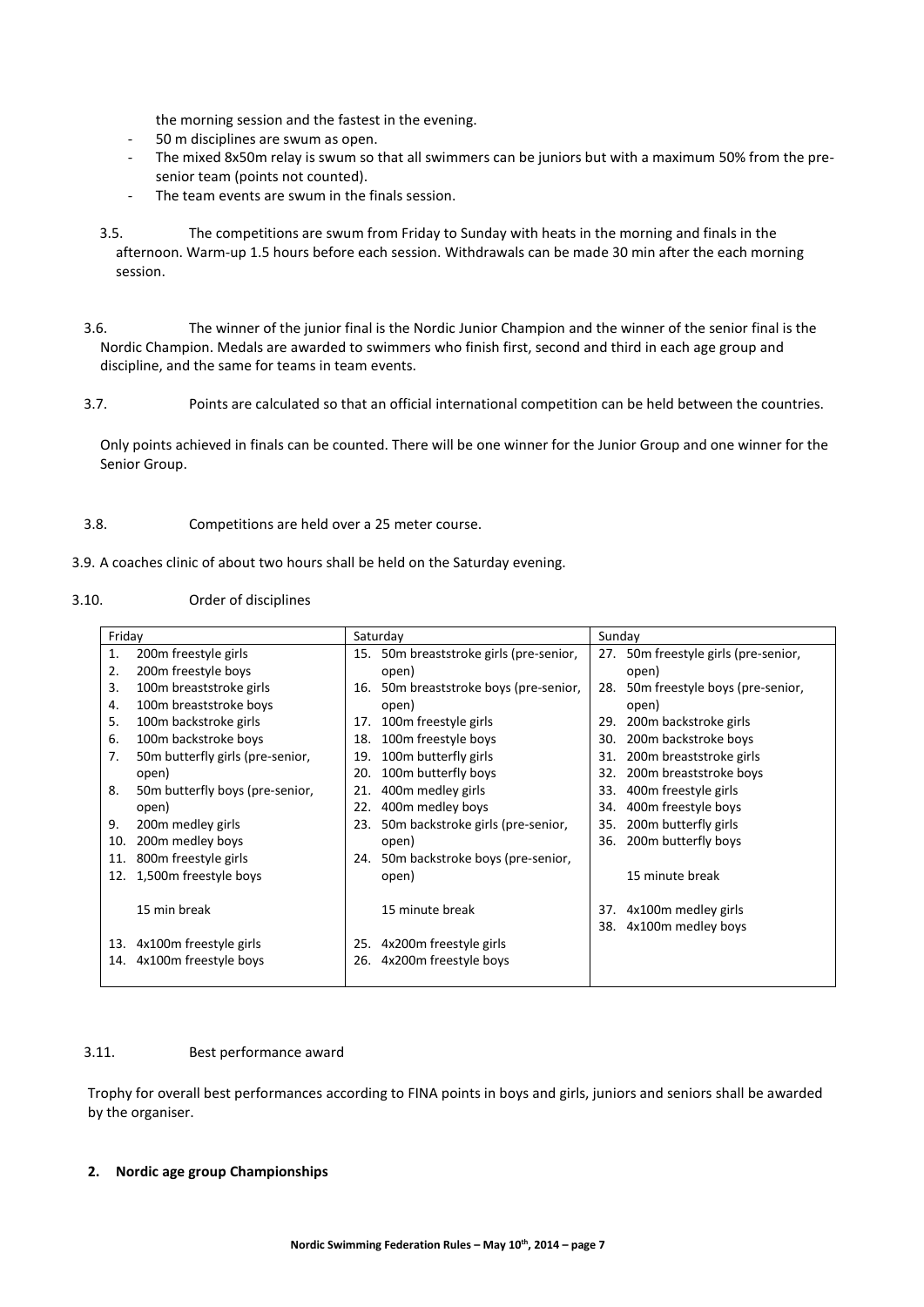the morning session and the fastest in the evening.

- 50 m disciplines are swum as open.
- The mixed 8x50m relay is swum so that all swimmers can be juniors but with a maximum 50% from the presenior team (points not counted).
- The team events are swum in the finals session.
- 3.5. The competitions are swum from Friday to Sunday with heats in the morning and finals in the afternoon. Warm-up 1.5 hours before each session. Withdrawals can be made 30 min after the each morning session.
- 3.6. The winner of the junior final is the Nordic Junior Champion and the winner of the senior final is the Nordic Champion. Medals are awarded to swimmers who finish first, second and third in each age group and discipline, and the same for teams in team events.
- 3.7. Points are calculated so that an official international competition can be held between the countries.

Only points achieved in finals can be counted. There will be one winner for the Junior Group and one winner for the Senior Group.

3.8. Competitions are held over a 25 meter course.

3.9. A coaches clinic of about two hours shall be held on the Saturday evening.

#### 3.10. Order of disciplines

| Friday |                                  |     | Saturday                                | Sunday |                                      |
|--------|----------------------------------|-----|-----------------------------------------|--------|--------------------------------------|
| 1.     | 200 <sub>m</sub> freestyle girls |     | 15. 50m breaststroke girls (pre-senior, |        | 27. 50m freestyle girls (pre-senior, |
| 2.     | 200m freestyle boys              |     | open)                                   |        | open)                                |
| 3.     | 100m breaststroke girls          |     | 16. 50 m breaststroke boys (pre-senior, | 28.    | 50m freestyle boys (pre-senior,      |
| 4.     | 100m breaststroke boys           |     | open)                                   |        | open)                                |
| 5.     | 100m backstroke girls            | 17. | 100m freestyle girls                    | 29.    | 200m backstroke girls                |
| 6.     | 100m backstroke boys             | 18. | 100m freestyle boys                     | 30.    | 200m backstroke boys                 |
| 7.     | 50m butterfly girls (pre-senior, | 19. | 100m butterfly girls                    | 31.    | 200m breaststroke girls              |
|        | open)                            | 20. | 100m butterfly boys                     | 32.    | 200m breaststroke boys               |
| 8.     | 50m butterfly boys (pre-senior,  | 21. | 400m medley girls                       | 33.    | 400m freestyle girls                 |
|        | open)                            | 22. | 400m medley boys                        | 34.    | 400m freestyle boys                  |
| 9.     | 200m medley girls                | 23. | 50m backstroke girls (pre-senior,       | 35.    | 200 <sub>m</sub> butterfly girls     |
| 10.    | 200m medley boys                 |     | open)                                   | 36.    | 200m butterfly boys                  |
| 11.    | 800m freestyle girls             | 24. | 50m backstroke boys (pre-senior,        |        |                                      |
| 12.    | 1,500m freestyle boys            |     | open)                                   |        | 15 minute break                      |
|        |                                  |     |                                         |        |                                      |
|        | 15 min break                     |     | 15 minute break                         |        | 37. 4x100m medley girls              |
|        |                                  |     |                                         |        | 38. 4x100m medley boys               |
| 13.    | 4x100m freestyle girls           | 25. | 4x200m freestyle girls                  |        |                                      |
|        | 14. 4x100m freestyle boys        | 26. | 4x200m freestyle boys                   |        |                                      |
|        |                                  |     |                                         |        |                                      |

#### 3.11. Best performance award

Trophy for overall best performances according to FINA points in boys and girls, juniors and seniors shall be awarded by the organiser.

#### **2. Nordic age group Championships**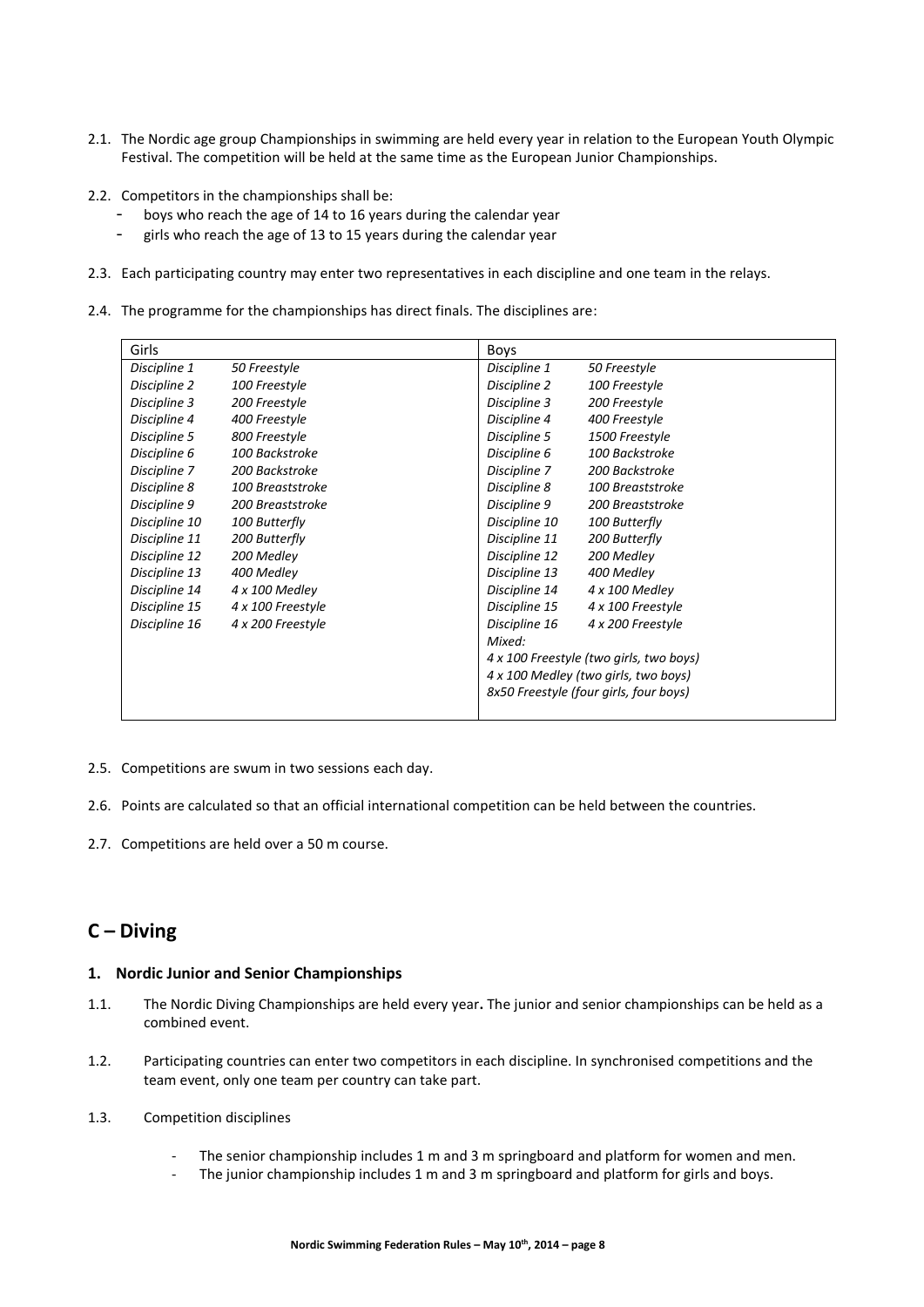- 2.1. The Nordic age group Championships in swimming are held every year in relation to the European Youth Olympic Festival. The competition will be held at the same time as the European Junior Championships.
- 2.2. Competitors in the championships shall be:
	- boys who reach the age of 14 to 16 years during the calendar year
	- girls who reach the age of 13 to 15 years during the calendar year
- 2.3. Each participating country may enter two representatives in each discipline and one team in the relays.
- 2.4. The programme for the championships has direct finals. The disciplines are:

| Girls         |                   | Boys                                    |                   |
|---------------|-------------------|-----------------------------------------|-------------------|
| Discipline 1  | 50 Freestyle      | Discipline 1                            | 50 Freestyle      |
| Discipline 2  | 100 Freestyle     | Discipline 2                            | 100 Freestyle     |
| Discipline 3  | 200 Freestyle     | Discipline 3                            | 200 Freestyle     |
| Discipline 4  | 400 Freestyle     | Discipline 4                            | 400 Freestyle     |
| Discipline 5  | 800 Freestyle     | Discipline 5                            | 1500 Freestyle    |
| Discipline 6  | 100 Backstroke    | Discipline 6                            | 100 Backstroke    |
| Discipline 7  | 200 Backstroke    | Discipline 7                            | 200 Backstroke    |
| Discipline 8  | 100 Breaststroke  | Discipline 8                            | 100 Breaststroke  |
| Discipline 9  | 200 Breaststroke  | Discipline 9                            | 200 Breaststroke  |
| Discipline 10 | 100 Butterfly     | Discipline 10                           | 100 Butterfly     |
| Discipline 11 | 200 Butterfly     | Discipline 11                           | 200 Butterfly     |
| Discipline 12 | 200 Medley        | Discipline 12                           | 200 Medley        |
| Discipline 13 | 400 Medley        | Discipline 13                           | 400 Medley        |
| Discipline 14 | 4 x 100 Medley    | Discipline 14                           | 4 x 100 Medley    |
| Discipline 15 | 4 x 100 Freestyle | Discipline 15                           | 4 x 100 Freestyle |
| Discipline 16 | 4 x 200 Freestyle | Discipline 16                           | 4 x 200 Freestyle |
|               |                   | Mixed:                                  |                   |
|               |                   | 4 x 100 Freestyle (two girls, two boys) |                   |
|               |                   | 4 x 100 Medley (two girls, two boys)    |                   |
|               |                   | 8x50 Freestyle (four girls, four boys)  |                   |
|               |                   |                                         |                   |

- 2.5. Competitions are swum in two sessions each day.
- 2.6. Points are calculated so that an official international competition can be held between the countries.
- 2.7. Competitions are held over a 50 m course.

# **C – Diving**

#### **1. Nordic Junior and Senior Championships**

- 1.1. The Nordic Diving Championships are held every year**.** The junior and senior championships can be held as a combined event.
- 1.2. Participating countries can enter two competitors in each discipline. In synchronised competitions and the team event, only one team per country can take part.
- 1.3. Competition disciplines
	- The senior championship includes 1 m and 3 m springboard and platform for women and men.
	- The junior championship includes 1 m and 3 m springboard and platform for girls and boys.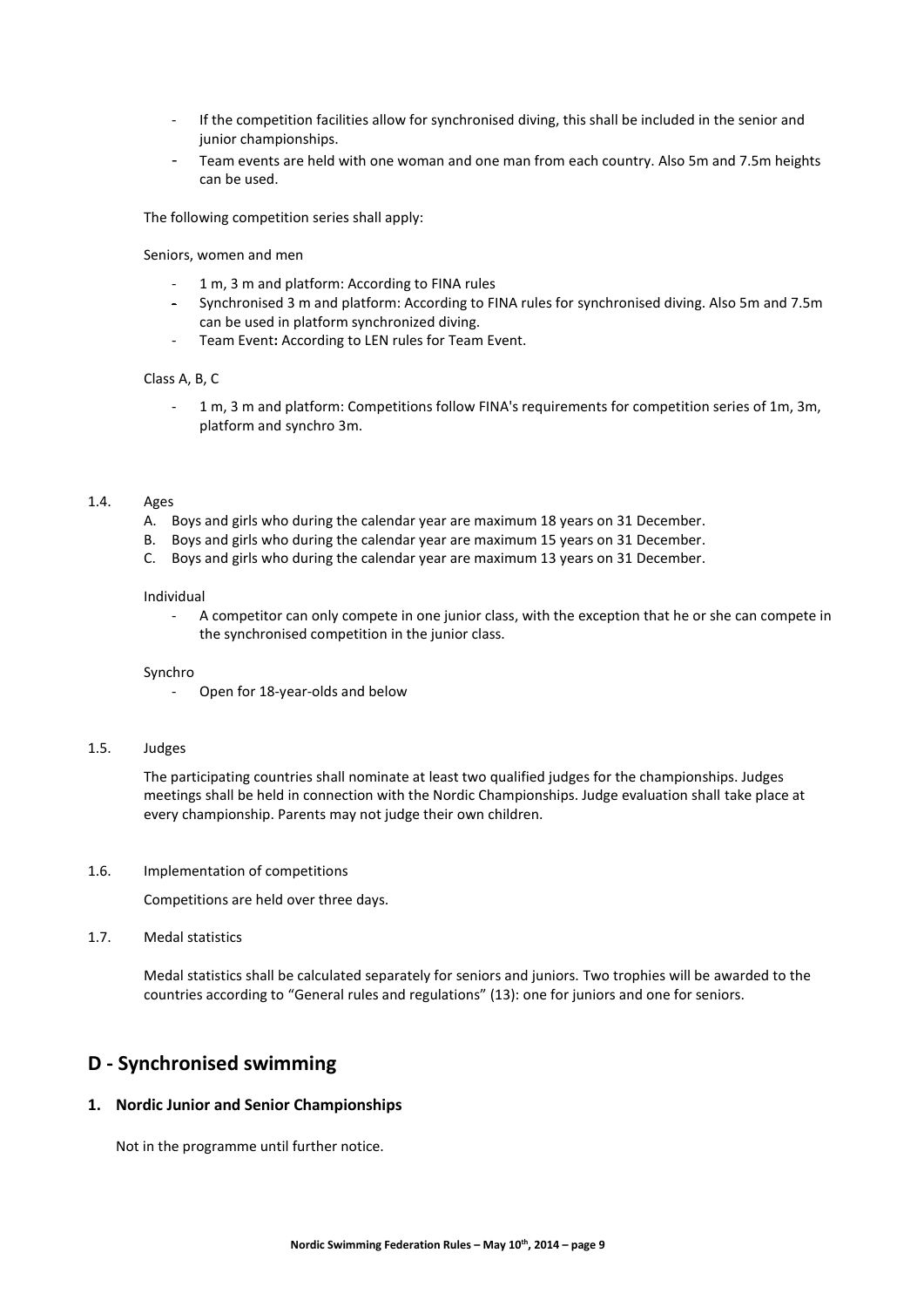- If the competition facilities allow for synchronised diving, this shall be included in the senior and junior championships.
- Team events are held with one woman and one man from each country. Also 5m and 7.5m heights can be used.

The following competition series shall apply:

Seniors, women and men

- 1 m, 3 m and platform: According to FINA rules
- Synchronised 3 m and platform: According to FINA rules for synchronised diving. Also 5m and 7.5m can be used in platform synchronized diving.
- Team Event**:** According to LEN rules for Team Event.

#### Class A, B, C

- 1 m, 3 m and platform: Competitions follow FINA's requirements for competition series of 1m, 3m, platform and synchro 3m.

# 1.4. Ages

- A. Boys and girls who during the calendar year are maximum 18 years on 31 December.
- B. Boys and girls who during the calendar year are maximum 15 years on 31 December.
- C. Boys and girls who during the calendar year are maximum 13 years on 31 December.

#### Individual

- A competitor can only compete in one junior class, with the exception that he or she can compete in the synchronised competition in the junior class.

#### Synchro

- Open for 18-year-olds and below

#### 1.5. Judges

The participating countries shall nominate at least two qualified judges for the championships. Judges meetings shall be held in connection with the Nordic Championships. Judge evaluation shall take place at every championship. Parents may not judge their own children.

1.6. Implementation of competitions

Competitions are held over three days.

#### 1.7. Medal statistics

Medal statistics shall be calculated separately for seniors and juniors. Two trophies will be awarded to the countries according to "General rules and regulations" (13): one for juniors and one for seniors.

# **D - Synchronised swimming**

#### **1. Nordic Junior and Senior Championships**

Not in the programme until further notice.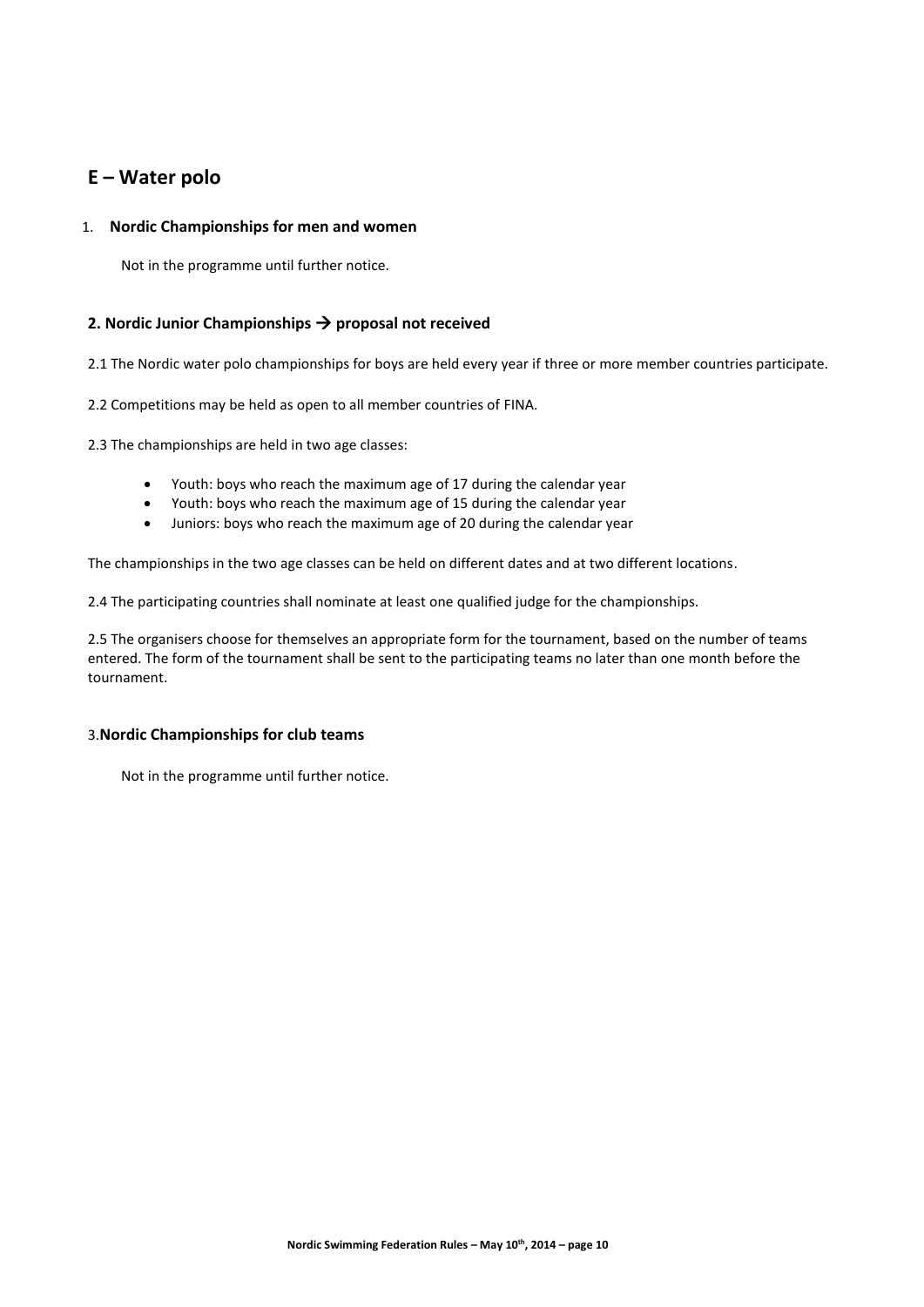# **E – Water polo**

## 1. **Nordic Championships for men and women**

Not in the programme until further notice.

# **2. Nordic Junior Championships proposal not received**

2.1 The Nordic water polo championships for boys are held every year if three or more member countries participate.

2.2 Competitions may be held as open to all member countries of FINA.

2.3 The championships are held in two age classes:

- Youth: boys who reach the maximum age of 17 during the calendar year
- Youth: boys who reach the maximum age of 15 during the calendar year
- Juniors: boys who reach the maximum age of 20 during the calendar year

The championships in the two age classes can be held on different dates and at two different locations.

2.4 The participating countries shall nominate at least one qualified judge for the championships.

2.5 The organisers choose for themselves an appropriate form for the tournament, based on the number of teams entered. The form of the tournament shall be sent to the participating teams no later than one month before the tournament.

#### 3.**Nordic Championships for club teams**

Not in the programme until further notice.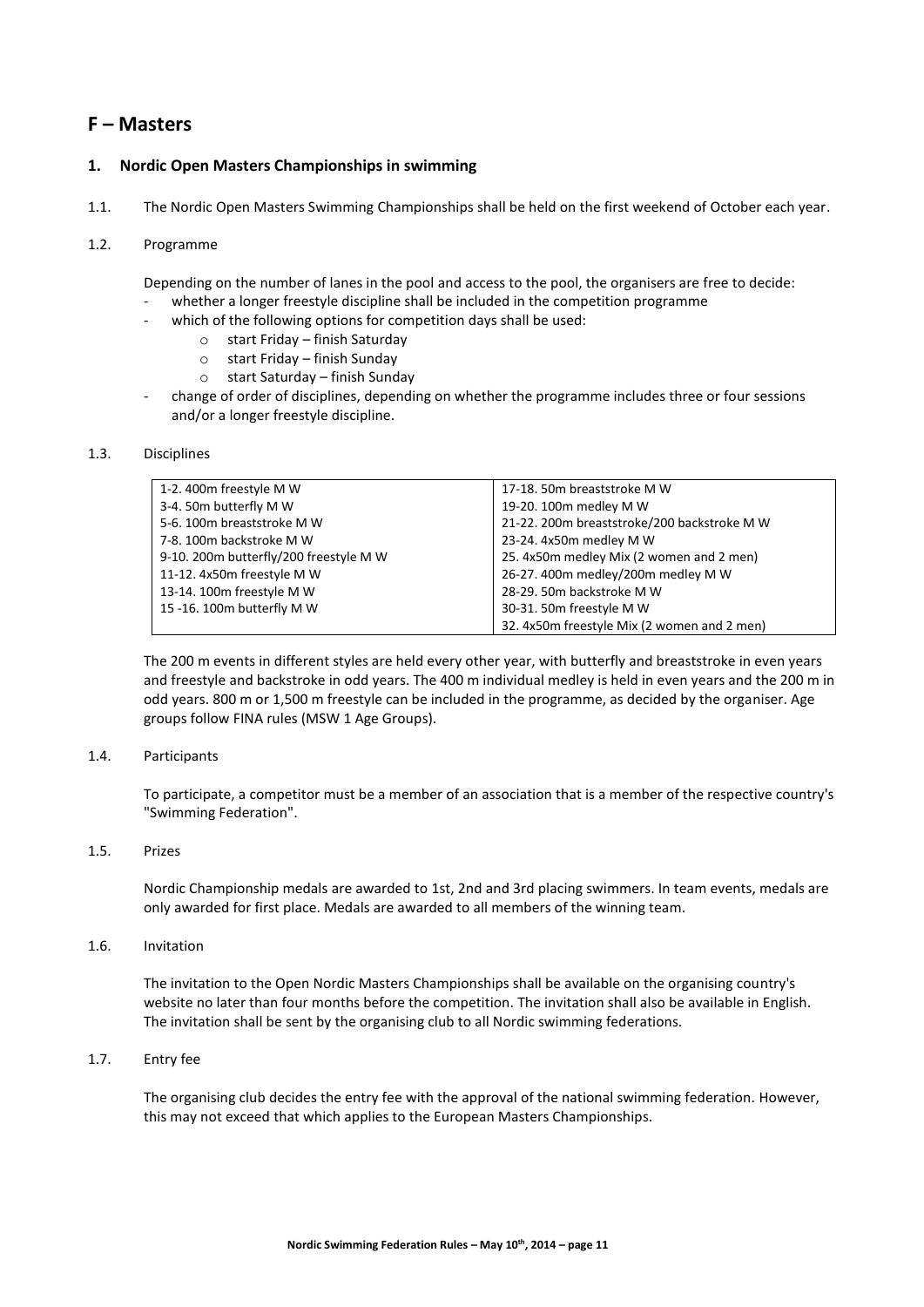# **F – Masters**

## **1. Nordic Open Masters Championships in swimming**

1.1. The Nordic Open Masters Swimming Championships shall be held on the first weekend of October each year.

#### 1.2. Programme

Depending on the number of lanes in the pool and access to the pool, the organisers are free to decide:

- whether a longer freestyle discipline shall be included in the competition programme
	- which of the following options for competition days shall be used:
		- o start Friday finish Saturday
		- o start Friday finish Sunday
		- o start Saturday finish Sunday
- change of order of disciplines, depending on whether the programme includes three or four sessions and/or a longer freestyle discipline.

#### 1.3. Disciplines

| 1-2.400m freestyle M W                 | 17-18. 50m breaststroke M W                 |
|----------------------------------------|---------------------------------------------|
| 3-4.50m butterfly M W                  | 19-20. 100m medley M W                      |
| 5-6.100m breaststroke M W              | 21-22. 200m breaststroke/200 backstroke M W |
| 7-8. 100m backstroke M W               | 23-24. 4x50m medley M W                     |
| 9-10. 200m butterfly/200 freestyle M W | 25. 4x50m medley Mix (2 women and 2 men)    |
| 11-12. 4x50m freestyle M W             | 26-27. 400m medley/200m medley M W          |
| 13-14. 100m freestyle M W              | 28-29. 50m backstroke M W                   |
| 15 -16. 100m butterfly M W             | 30-31. 50m freestyle M W                    |
|                                        | 32. 4x50m freestyle Mix (2 women and 2 men) |

The 200 m events in different styles are held every other year, with butterfly and breaststroke in even years and freestyle and backstroke in odd years. The 400 m individual medley is held in even years and the 200 m in odd years. 800 m or 1,500 m freestyle can be included in the programme, as decided by the organiser. Age groups follow FINA rules (MSW 1 Age Groups).

#### 1.4. Participants

To participate, a competitor must be a member of an association that is a member of the respective country's "Swimming Federation".

#### 1.5. Prizes

Nordic Championship medals are awarded to 1st, 2nd and 3rd placing swimmers. In team events, medals are only awarded for first place. Medals are awarded to all members of the winning team.

#### 1.6. Invitation

The invitation to the Open Nordic Masters Championships shall be available on the organising country's website no later than four months before the competition. The invitation shall also be available in English. The invitation shall be sent by the organising club to all Nordic swimming federations.

#### 1.7. Entry fee

The organising club decides the entry fee with the approval of the national swimming federation. However, this may not exceed that which applies to the European Masters Championships.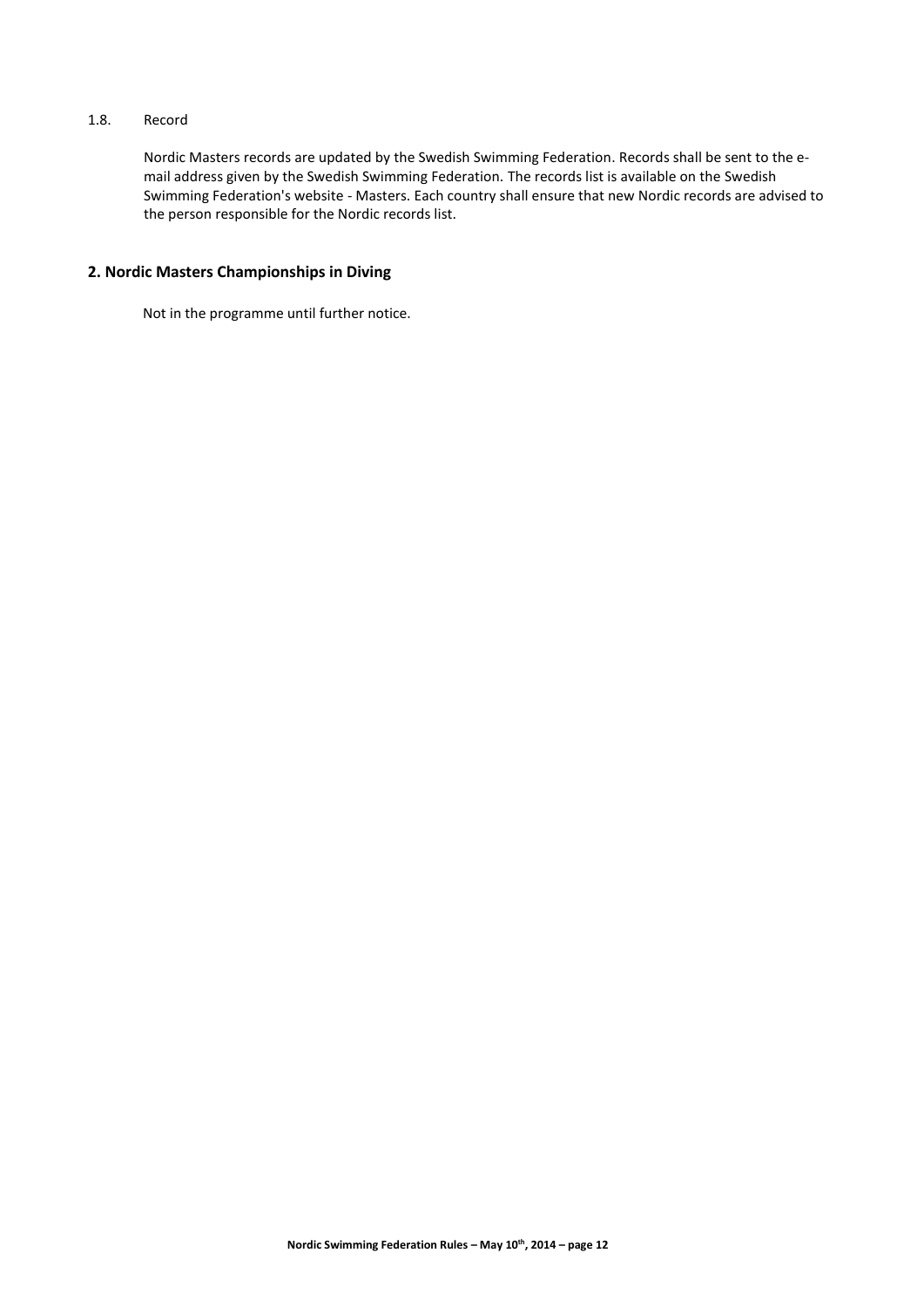# 1.8. Record

Nordic Masters records are updated by the Swedish Swimming Federation. Records shall be sent to the email address given by the Swedish Swimming Federation. The records list is available on the Swedish Swimming Federation's website - Masters. Each country shall ensure that new Nordic records are advised to the person responsible for the Nordic records list.

# **2. Nordic Masters Championships in Diving**

Not in the programme until further notice.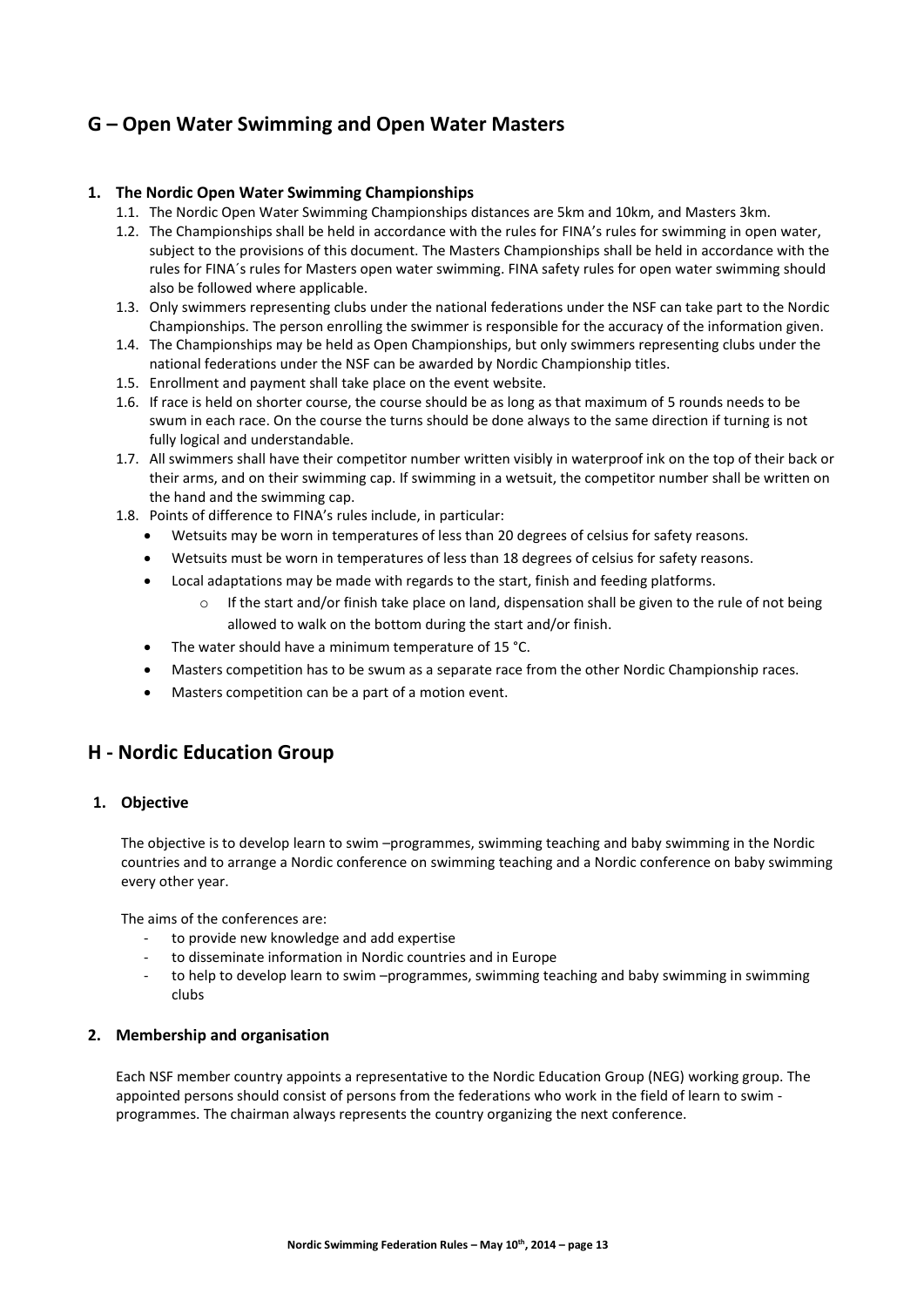# **G – Open Water Swimming and Open Water Masters**

# **1. The Nordic Open Water Swimming Championships**

- 1.1. The Nordic Open Water Swimming Championships distances are 5km and 10km, and Masters 3km.
- 1.2. The Championships shall be held in accordance with the rules for FINA's rules for swimming in open water, subject to the provisions of this document. The Masters Championships shall be held in accordance with the rules for FINA´s rules for Masters open water swimming. FINA safety rules for open water swimming should also be followed where applicable.
- 1.3. Only swimmers representing clubs under the national federations under the NSF can take part to the Nordic Championships. The person enrolling the swimmer is responsible for the accuracy of the information given.
- 1.4. The Championships may be held as Open Championships, but only swimmers representing clubs under the national federations under the NSF can be awarded by Nordic Championship titles.
- 1.5. Enrollment and payment shall take place on the event website.
- 1.6. If race is held on shorter course, the course should be as long as that maximum of 5 rounds needs to be swum in each race. On the course the turns should be done always to the same direction if turning is not fully logical and understandable.
- 1.7. All swimmers shall have their competitor number written visibly in waterproof ink on the top of their back or their arms, and on their swimming cap. If swimming in a wetsuit, the competitor number shall be written on the hand and the swimming cap.
- 1.8. Points of difference to FINA's rules include, in particular:
	- Wetsuits may be worn in temperatures of less than 20 degrees of celsius for safety reasons.
	- Wetsuits must be worn in temperatures of less than 18 degrees of celsius for safety reasons.
	- Local adaptations may be made with regards to the start, finish and feeding platforms.
		- o If the start and/or finish take place on land, dispensation shall be given to the rule of not being allowed to walk on the bottom during the start and/or finish.
	- The water should have a minimum temperature of 15 °C.
	- Masters competition has to be swum as a separate race from the other Nordic Championship races.
	- Masters competition can be a part of a motion event.

# **H - Nordic Education Group**

#### **1. Objective**

The objective is to develop learn to swim –programmes, swimming teaching and baby swimming in the Nordic countries and to arrange a Nordic conference on swimming teaching and a Nordic conference on baby swimming every other year.

The aims of the conferences are:

- to provide new knowledge and add expertise
- to disseminate information in Nordic countries and in Europe
- to help to develop learn to swim –programmes, swimming teaching and baby swimming in swimming clubs

#### **2. Membership and organisation**

Each NSF member country appoints a representative to the Nordic Education Group (NEG) working group. The appointed persons should consist of persons from the federations who work in the field of learn to swim programmes. The chairman always represents the country organizing the next conference.